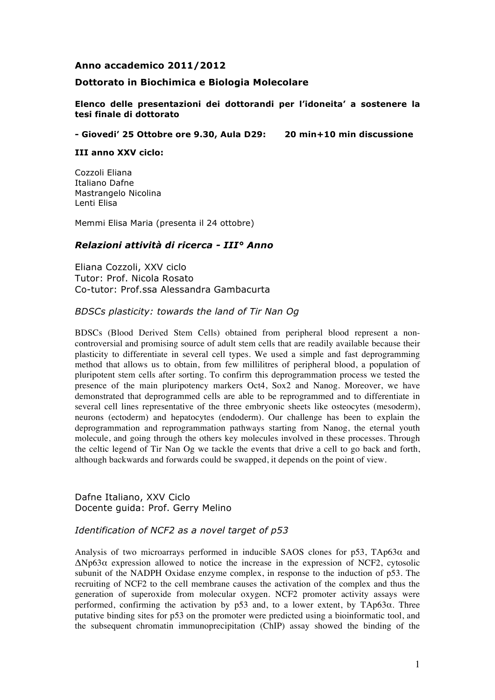### **Anno accademico 2011/2012**

### **Dottorato in Biochimica e Biologia Molecolare**

**Elenco delle presentazioni dei dottorandi per l'idoneita' a sostenere la tesi finale di dottorato**

**- Giovedi' 25 Ottobre ore 9.30, Aula D29: 20 min+10 min discussione**

**III anno XXV ciclo:**

Cozzoli Eliana Italiano Dafne Mastrangelo Nicolina Lenti Elisa

Memmi Elisa Maria (presenta il 24 ottobre)

### *Relazioni attività di ricerca - III° Anno*

Eliana Cozzoli, XXV ciclo Tutor: Prof. Nicola Rosato Co-tutor: Prof.ssa Alessandra Gambacurta

*BDSCs plasticity: towards the land of Tir Nan Og*

BDSCs (Blood Derived Stem Cells) obtained from peripheral blood represent a noncontroversial and promising source of adult stem cells that are readily available because their plasticity to differentiate in several cell types. We used a simple and fast deprogramming method that allows us to obtain, from few millilitres of peripheral blood, a population of pluripotent stem cells after sorting. To confirm this deprogrammation process we tested the presence of the main pluripotency markers Oct4, Sox2 and Nanog. Moreover, we have demonstrated that deprogrammed cells are able to be reprogrammed and to differentiate in several cell lines representative of the three embryonic sheets like osteocytes (mesoderm), neurons (ectoderm) and hepatocytes (endoderm). Our challenge has been to explain the deprogrammation and reprogrammation pathways starting from Nanog, the eternal youth molecule, and going through the others key molecules involved in these processes. Through the celtic legend of Tir Nan Og we tackle the events that drive a cell to go back and forth, although backwards and forwards could be swapped, it depends on the point of view.

Dafne Italiano, XXV Ciclo Docente guida: Prof. Gerry Melino

### *Identification of NCF2 as a novel target of p53*

Analysis of two microarrays performed in inducible SAOS clones for  $p53$ , TAp63 $\alpha$  and  $ΔNp63α$  expression allowed to notice the increase in the expression of NCF2, cytosolic subunit of the NADPH Oxidase enzyme complex, in response to the induction of p53. The recruiting of NCF2 to the cell membrane causes the activation of the complex and thus the generation of superoxide from molecular oxygen. NCF2 promoter activity assays were performed, confirming the activation by p53 and, to a lower extent, by TAp63α. Three putative binding sites for p53 on the promoter were predicted using a bioinformatic tool, and the subsequent chromatin immunoprecipitation (ChIP) assay showed the binding of the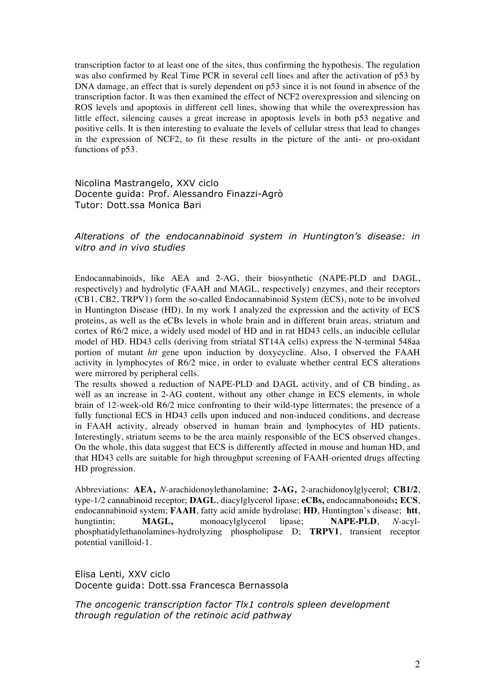transcription factor to at least one of the sites, thus confirming the hypothesis. The regulation was also confirmed by Real Time PCR in several cell lines and after the activation of p53 by DNA damage, an effect that is surely dependent on p53 since it is not found in absence of the transcription factor. It was then examined the effect of NCF2 overexpression and silencing on ROS levels and apoptosis in different cell lines, showing that while the overexpression has little effect, silencing causes a great increase in apoptosis levels in both p53 negative and positive cells. It is then interesting to evaluate the levels of cellular stress that lead to changes in the expression of NCF2, to fit these results in the picture of the anti- or pro-oxidant functions of p53.

Nicolina Mastrangelo, XXV ciclo Docente guida: Prof. Alessandro Finazzi-Agrò Tutor: Dott.ssa Monica Bari

*Alterations of the endocannabinoid system in Huntington's disease: in vitro and in vivo studies*

Endocannabinoids, like AEA and 2-AG, their biosynthetic (NAPE-PLD and DAGL, respectively) and hydrolytic (FAAH and MAGL, respectively) enzymes, and their receptors (CB1, CB2, TRPV1) form the so-called Endocannabinoid System (ECS), note to be involved in Huntington Disease (HD). In my work I analyzed the expression and the activity of ECS proteins, as well as the eCBs levels in whole brain and in different brain areas, striatum and cortex of R6/2 mice, a widely used model of HD and in rat HD43 cells, an inducible cellular model of HD. HD43 cells (deriving from striatal ST14A cells) express the N-terminal 548aa portion of mutant *htt* gene upon induction by doxycycline. Also, I observed the FAAH activity in lymphocytes of R6/2 mice, in order to evaluate whether central ECS alterations were mirrored by peripheral cells.

The results showed a reduction of NAPE-PLD and DAGL activity, and of CB binding, as well as an increase in 2-AG content, without any other change in ECS elements, in whole brain of 12-week-old R6/2 mice confronting to their wild-type littermates; the presence of a fully functional ECS in HD43 cells upon induced and non-induced conditions, and decrease in FAAH activity, already observed in human brain and lymphocytes of HD patients. Interestingly, striatum seems to be the area mainly responsible of the ECS observed changes. On the whole, this data suggest that ECS is differently affected in mouse and human HD, and that HD43 cells are suitable for high throughput screening of FAAH-oriented drugs affecting HD progression.

Abbreviations: **AEA,** *N*-arachidonoylethanolamine; **2-AG,** 2-arachidonoylglycerol; **CB1/2**, type-1/2 cannabinoid receptor; **DAGL**, diacylglycerol lipase; **eCBs,** endocannabonoids**; ECS**, endocannabinoid system; **FAAH**, fatty acid amide hydrolase; **HD**, Huntington's disease; **htt**, hungtintin; **MAGL,** monoacylglycerol lipase; **NAPE-PLD**, *N*-acylphosphatidylethanolamines-hydrolyzing phospholipase D; **TRPV1**, transient receptor potential vanilloid-1.

Elisa Lenti, XXV ciclo Docente guida: Dott.ssa Francesca Bernassola

*The oncogenic transcription factor Tlx1 controls spleen development through regulation of the retinoic acid pathway*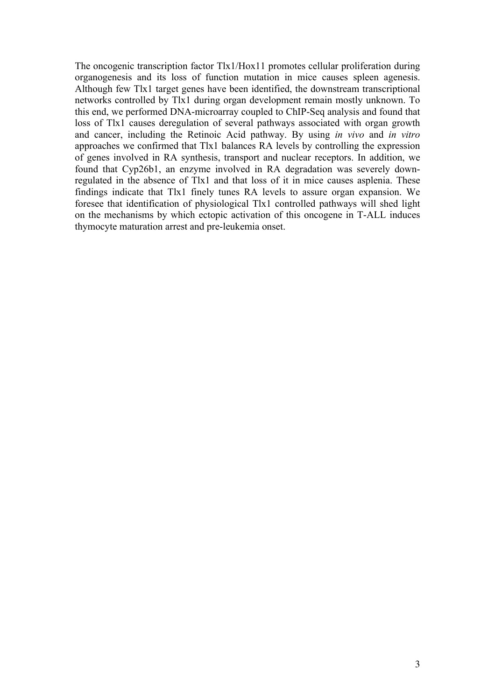The oncogenic transcription factor Tlx1/Hox11 promotes cellular proliferation during organogenesis and its loss of function mutation in mice causes spleen agenesis. Although few Tlx1 target genes have been identified, the downstream transcriptional networks controlled by Tlx1 during organ development remain mostly unknown. To this end, we performed DNA-microarray coupled to ChIP-Seq analysis and found that loss of Tlx1 causes deregulation of several pathways associated with organ growth and cancer, including the Retinoic Acid pathway. By using *in vivo* and *in vitro* approaches we confirmed that Tlx1 balances RA levels by controlling the expression of genes involved in RA synthesis, transport and nuclear receptors. In addition, we found that Cyp26b1, an enzyme involved in RA degradation was severely downregulated in the absence of Tlx1 and that loss of it in mice causes asplenia. These findings indicate that Tlx1 finely tunes RA levels to assure organ expansion. We foresee that identification of physiological Tlx1 controlled pathways will shed light on the mechanisms by which ectopic activation of this oncogene in T-ALL induces thymocyte maturation arrest and pre-leukemia onset.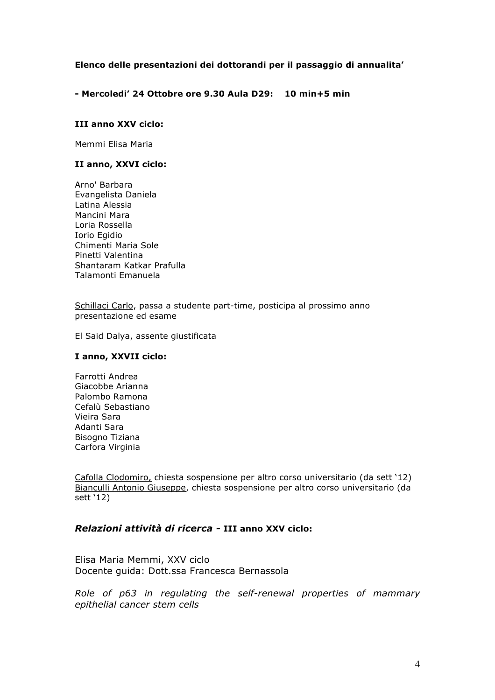## **Elenco delle presentazioni dei dottorandi per il passaggio di annualita'**

**- Mercoledi' 24 Ottobre ore 9.30 Aula D29: 10 min+5 min**

### **III anno XXV ciclo:**

Memmi Elisa Maria

#### **II anno, XXVI ciclo:**

Arno' Barbara Evangelista Daniela Latina Alessia Mancini Mara Loria Rossella Iorio Egidio Chimenti Maria Sole Pinetti Valentina Shantaram Katkar Prafulla Talamonti Emanuela

Schillaci Carlo, passa a studente part-time, posticipa al prossimo anno presentazione ed esame

El Said Dalya, assente giustificata

#### **I anno, XXVII ciclo:**

Farrotti Andrea Giacobbe Arianna Palombo Ramona Cefalù Sebastiano Vieira Sara Adanti Sara Bisogno Tiziana Carfora Virginia

Cafolla Clodomiro, chiesta sospensione per altro corso universitario (da sett '12) Bianculli Antonio Giuseppe, chiesta sospensione per altro corso universitario (da sett '12)

## *Relazioni attività di ricerca -* **III anno XXV ciclo:**

Elisa Maria Memmi, XXV ciclo Docente guida: Dott.ssa Francesca Bernassola

*Role of p63 in regulating the self-renewal properties of mammary epithelial cancer stem cells*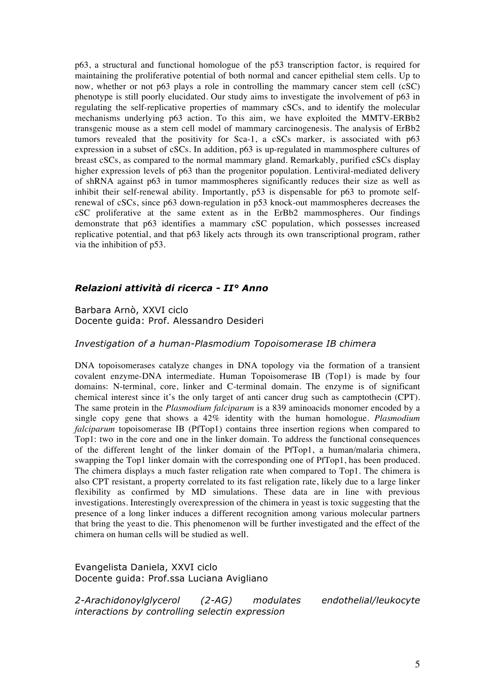p63, a structural and functional homologue of the p53 transcription factor, is required for maintaining the proliferative potential of both normal and cancer epithelial stem cells. Up to now, whether or not p63 plays a role in controlling the mammary cancer stem cell (cSC) phenotype is still poorly elucidated. Our study aims to investigate the involvement of p63 in regulating the self-replicative properties of mammary cSCs, and to identify the molecular mechanisms underlying p63 action. To this aim, we have exploited the MMTV-ERBb2 transgenic mouse as a stem cell model of mammary carcinogenesis. The analysis of ErBb2 tumors revealed that the positivity for Sca-1, a cSCs marker, is associated with p63 expression in a subset of cSCs. In addition, p63 is up-regulated in mammosphere cultures of breast cSCs, as compared to the normal mammary gland. Remarkably, purified cSCs display higher expression levels of p63 than the progenitor population. Lentiviral-mediated delivery of shRNA against p63 in tumor mammospheres significantly reduces their size as well as inhibit their self-renewal ability. Importantly, p53 is dispensable for p63 to promote selfrenewal of cSCs, since p63 down-regulation in p53 knock-out mammospheres decreases the cSC proliferative at the same extent as in the ErBb2 mammospheres. Our findings demonstrate that p63 identifies a mammary cSC population, which possesses increased replicative potential, and that p63 likely acts through its own transcriptional program, rather via the inhibition of p53.

## *Relazioni attività di ricerca - II° Anno*

Barbara Arnò, XXVI ciclo Docente guida: Prof. Alessandro Desideri

#### *Investigation of a human-Plasmodium Topoisomerase IB chimera*

DNA topoisomerases catalyze changes in DNA topology via the formation of a transient covalent enzyme-DNA intermediate. Human Topoisomerase IB (Top1) is made by four domains: N-terminal, core, linker and C-terminal domain. The enzyme is of significant chemical interest since it's the only target of anti cancer drug such as camptothecin (CPT). The same protein in the *Plasmodium falciparum* is a 839 aminoacids monomer encoded by a single copy gene that shows a 42% identity with the human homologue. *Plasmodium falciparum* topoisomerase IB (PfTop1) contains three insertion regions when compared to Top1: two in the core and one in the linker domain. To address the functional consequences of the different lenght of the linker domain of the PfTop1, a human/malaria chimera, swapping the Top1 linker domain with the corresponding one of PfTop1, has been produced. The chimera displays a much faster religation rate when compared to Top1. The chimera is also CPT resistant, a property correlated to its fast religation rate, likely due to a large linker flexibility as confirmed by MD simulations. These data are in line with previous investigations. Interestingly overexpression of the chimera in yeast is toxic suggesting that the presence of a long linker induces a different recognition among various molecular partners that bring the yeast to die. This phenomenon will be further investigated and the effect of the chimera on human cells will be studied as well.

Evangelista Daniela, XXVI ciclo Docente guida: Prof.ssa Luciana Avigliano

*2-Arachidonoylglycerol (2-AG) modulates endothelial/leukocyte interactions by controlling selectin expression*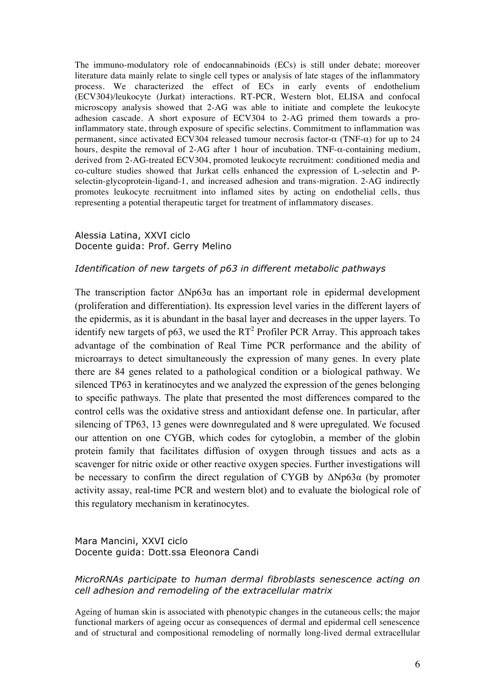The immuno-modulatory role of endocannabinoids (ECs) is still under debate; moreover literature data mainly relate to single cell types or analysis of late stages of the inflammatory process. We characterized the effect of ECs in early events of endothelium (ECV304)/leukocyte (Jurkat) interactions. RT-PCR, Western blot, ELISA and confocal microscopy analysis showed that 2-AG was able to initiate and complete the leukocyte adhesion cascade. A short exposure of ECV304 to 2-AG primed them towards a proinflammatory state, through exposure of specific selectins. Commitment to inflammation was permanent, since activated ECV304 released tumour necrosis factor-α (TNF-α) for up to 24 hours, despite the removal of 2-AG after 1 hour of incubation. TNF-α-containing medium, derived from 2-AG-treated ECV304, promoted leukocyte recruitment: conditioned media and co-culture studies showed that Jurkat cells enhanced the expression of L-selectin and Pselectin-glycoprotein-ligand-1, and increased adhesion and trans-migration. 2-AG indirectly promotes leukocyte recruitment into inflamed sites by acting on endothelial cells, thus representing a potential therapeutic target for treatment of inflammatory diseases.

## Alessia Latina, XXVI ciclo Docente guida: Prof. Gerry Melino

## *Identification of new targets of p63 in different metabolic pathways*

The transcription factor ΔNp63α has an important role in epidermal development (proliferation and differentiation). Its expression level varies in the different layers of the epidermis, as it is abundant in the basal layer and decreases in the upper layers. To identify new targets of p63, we used the  $RT<sup>2</sup>$  Profiler PCR Array. This approach takes advantage of the combination of Real Time PCR performance and the ability of microarrays to detect simultaneously the expression of many genes. In every plate there are 84 genes related to a pathological condition or a biological pathway. We silenced TP63 in keratinocytes and we analyzed the expression of the genes belonging to specific pathways. The plate that presented the most differences compared to the control cells was the oxidative stress and antioxidant defense one. In particular, after silencing of TP63, 13 genes were downregulated and 8 were upregulated. We focused our attention on one CYGB, which codes for cytoglobin, a member of the globin protein family that facilitates diffusion of oxygen through tissues and acts as a scavenger for nitric oxide or other reactive oxygen species. Further investigations will be necessary to confirm the direct regulation of CYGB by ΔNp63α (by promoter activity assay, real-time PCR and western blot) and to evaluate the biological role of this regulatory mechanism in keratinocytes.

## Mara Mancini, XXVI ciclo Docente guida: Dott.ssa Eleonora Candi

# *MicroRNAs participate to human dermal fibroblasts senescence acting on cell adhesion and remodeling of the extracellular matrix*

Ageing of human skin is associated with phenotypic changes in the cutaneous cells; the major functional markers of ageing occur as consequences of dermal and epidermal cell senescence and of structural and compositional remodeling of normally long-lived dermal extracellular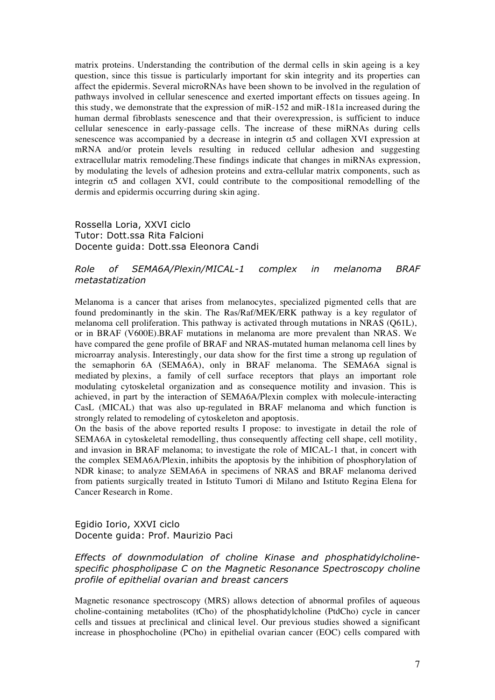matrix proteins. Understanding the contribution of the dermal cells in skin ageing is a key question, since this tissue is particularly important for skin integrity and its properties can affect the epidermis. Several microRNAs have been shown to be involved in the regulation of pathways involved in cellular senescence and exerted important effects on tissues ageing. In this study, we demonstrate that the expression of miR-152 and miR-181a increased during the human dermal fibroblasts senescence and that their overexpression, is sufficient to induce cellular senescence in early-passage cells. The increase of these miRNAs during cells senescence was accompanied by a decrease in integrin  $\alpha$ 5 and collagen XVI expression at mRNA and/or protein levels resulting in reduced cellular adhesion and suggesting extracellular matrix remodeling.These findings indicate that changes in miRNAs expression, by modulating the levels of adhesion proteins and extra-cellular matrix components, such as integrin  $\alpha$ 5 and collagen XVI, could contribute to the compositional remodelling of the dermis and epidermis occurring during skin aging.

### Rossella Loria, XXVI ciclo Tutor: Dott.ssa Rita Falcioni Docente guida: Dott.ssa Eleonora Candi

## *Role of SEMA6A/Plexin/MICAL-1 complex in melanoma BRAF metastatization*

Melanoma is a cancer that arises from melanocytes, specialized pigmented cells that are found predominantly in the skin. The Ras/Raf/MEK/ERK pathway is a key regulator of melanoma cell proliferation. This pathway is activated through mutations in NRAS (Q61L), or in BRAF (V600E).BRAF mutations in melanoma are more prevalent than NRAS. We have compared the gene profile of BRAF and NRAS-mutated human melanoma cell lines by microarray analysis. Interestingly, our data show for the first time a strong up regulation of the semaphorin 6A (SEMA6A), only in BRAF melanoma. The SEMA6A signal is mediated by plexins, a family of cell surface receptors that plays an important role modulating cytoskeletal organization and as consequence motility and invasion. This is achieved, in part by the interaction of SEMA6A/Plexin complex with molecule-interacting CasL (MICAL) that was also up-regulated in BRAF melanoma and which function is strongly related to remodeling of cytoskeleton and apoptosis.

On the basis of the above reported results I propose: to investigate in detail the role of SEMA6A in cytoskeletal remodelling, thus consequently affecting cell shape, cell motility, and invasion in BRAF melanoma; to investigate the role of MICAL-1 that, in concert with the complex SEMA6A/Plexin, inhibits the apoptosis by the inhibition of phosphorylation of NDR kinase; to analyze SEMA6A in specimens of NRAS and BRAF melanoma derived from patients surgically treated in Istituto Tumori di Milano and Istituto Regina Elena for Cancer Research in Rome.

## Egidio Iorio, XXVI ciclo Docente guida: Prof. Maurizio Paci

## *Effects of downmodulation of choline Kinase and phosphatidylcholinespecific phospholipase C on the Magnetic Resonance Spectroscopy choline profile of epithelial ovarian and breast cancers*

Magnetic resonance spectroscopy (MRS) allows detection of abnormal profiles of aqueous choline-containing metabolites (tCho) of the phosphatidylcholine (PtdCho) cycle in cancer cells and tissues at preclinical and clinical level. Our previous studies showed a significant increase in phosphocholine (PCho) in epithelial ovarian cancer (EOC) cells compared with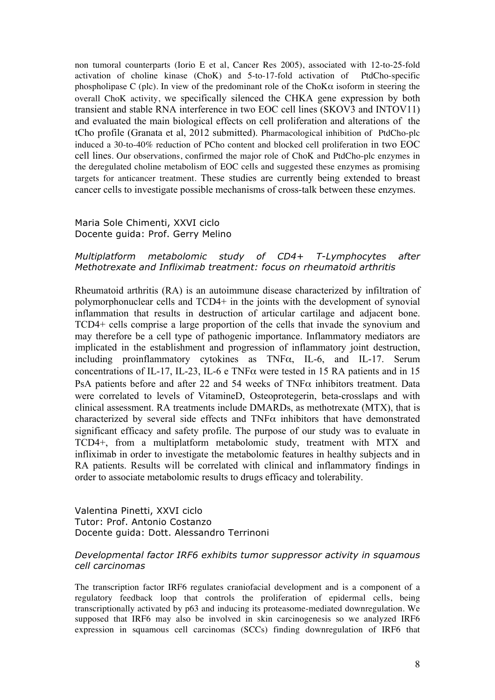non tumoral counterparts (Iorio E et al, Cancer Res 2005), associated with 12-to-25-fold activation of choline kinase (ChoK) and 5-to-17-fold activation of PtdCho-specific phospholipase C (plc). In view of the predominant role of the ChoK $\alpha$  isoform in steering the overall ChoK activity, we specifically silenced the CHKA gene expression by both transient and stable RNA interference in two EOC cell lines (SKOV3 and INTOV11) and evaluated the main biological effects on cell proliferation and alterations of the tCho profile (Granata et al, 2012 submitted). Pharmacological inhibition of PtdCho-plc induced a 30-to-40% reduction of PCho content and blocked cell proliferation in two EOC cell lines. Our observations, confirmed the major role of ChoK and PtdCho-plc enzymes in the deregulated choline metabolism of EOC cells and suggested these enzymes as promising targets for anticancer treatment. These studies are currently being extended to breast cancer cells to investigate possible mechanisms of cross-talk between these enzymes.

# Maria Sole Chimenti, XXVI ciclo Docente guida: Prof. Gerry Melino

### *Multiplatform metabolomic study of CD4+ T-Lymphocytes after Methotrexate and Infliximab treatment: focus on rheumatoid arthritis*

Rheumatoid arthritis (RA) is an autoimmune disease characterized by infiltration of polymorphonuclear cells and TCD4+ in the joints with the development of synovial inflammation that results in destruction of articular cartilage and adjacent bone. TCD4+ cells comprise a large proportion of the cells that invade the synovium and may therefore be a cell type of pathogenic importance. Inflammatory mediators are implicated in the establishment and progression of inflammatory joint destruction, including proinflammatory cytokines as TNFα, IL-6, and IL-17. Serum concentrations of IL-17, IL-23, IL-6 e TNF $\alpha$  were tested in 15 RA patients and in 15 PsA patients before and after 22 and 54 weeks of TNF $\alpha$  inhibitors treatment. Data were correlated to levels of VitamineD, Osteoprotegerin, beta-crosslaps and with clinical assessment. RA treatments include DMARDs, as methotrexate (MTX), that is characterized by several side effects and  $TNF\alpha$  inhibitors that have demonstrated significant efficacy and safety profile. The purpose of our study was to evaluate in TCD4+, from a multiplatform metabolomic study, treatment with MTX and infliximab in order to investigate the metabolomic features in healthy subjects and in RA patients. Results will be correlated with clinical and inflammatory findings in order to associate metabolomic results to drugs efficacy and tolerability.

## Valentina Pinetti, XXVI ciclo Tutor: Prof. Antonio Costanzo Docente guida: Dott. Alessandro Terrinoni

## *Developmental factor IRF6 exhibits tumor suppressor activity in squamous cell carcinomas*

The transcription factor IRF6 regulates craniofacial development and is a component of a regulatory feedback loop that controls the proliferation of epidermal cells, being transcriptionally activated by p63 and inducing its proteasome-mediated downregulation. We supposed that IRF6 may also be involved in skin carcinogenesis so we analyzed IRF6 expression in squamous cell carcinomas (SCCs) finding downregulation of IRF6 that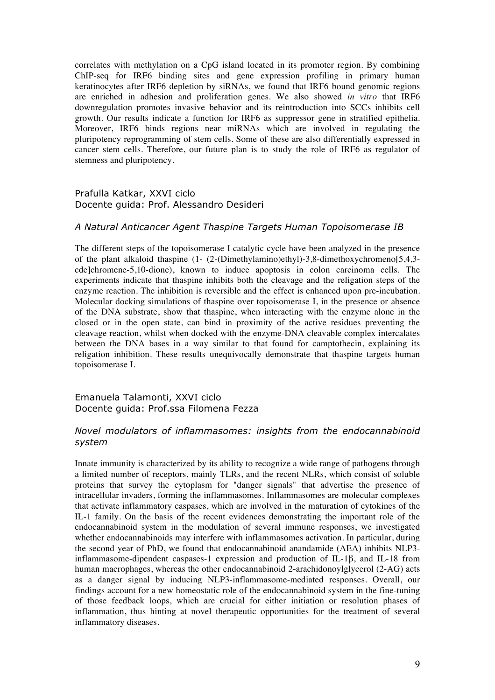correlates with methylation on a CpG island located in its promoter region. By combining ChIP-seq for IRF6 binding sites and gene expression profiling in primary human keratinocytes after IRF6 depletion by siRNAs, we found that IRF6 bound genomic regions are enriched in adhesion and proliferation genes. We also showed *in vitro* that IRF6 downregulation promotes invasive behavior and its reintroduction into SCCs inhibits cell growth. Our results indicate a function for IRF6 as suppressor gene in stratified epithelia. Moreover, IRF6 binds regions near miRNAs which are involved in regulating the pluripotency reprogramming of stem cells. Some of these are also differentially expressed in cancer stem cells. Therefore, our future plan is to study the role of IRF6 as regulator of stemness and pluripotency.

### Prafulla Katkar, XXVI ciclo Docente guida: Prof. Alessandro Desideri

### *A Natural Anticancer Agent Thaspine Targets Human Topoisomerase IB*

The different steps of the topoisomerase I catalytic cycle have been analyzed in the presence of the plant alkaloid thaspine (1- (2-(Dimethylamino)ethyl)-3,8-dimethoxychromeno[5,4,3 cde]chromene-5,10-dione), known to induce apoptosis in colon carcinoma cells. The experiments indicate that thaspine inhibits both the cleavage and the religation steps of the enzyme reaction. The inhibition is reversible and the effect is enhanced upon pre-incubation. Molecular docking simulations of thaspine over topoisomerase I, in the presence or absence of the DNA substrate, show that thaspine, when interacting with the enzyme alone in the closed or in the open state, can bind in proximity of the active residues preventing the cleavage reaction, whilst when docked with the enzyme-DNA cleavable complex intercalates between the DNA bases in a way similar to that found for camptothecin, explaining its religation inhibition. These results unequivocally demonstrate that thaspine targets human topoisomerase I.

Emanuela Talamonti, XXVI ciclo Docente guida: Prof.ssa Filomena Fezza

## *Novel modulators of inflammasomes: insights from the endocannabinoid system*

Innate immunity is characterized by its ability to recognize a wide range of pathogens through a limited number of receptors, mainly TLRs, and the recent NLRs, which consist of soluble proteins that survey the cytoplasm for "danger signals" that advertise the presence of intracellular invaders, forming the inflammasomes. Inflammasomes are molecular complexes that activate inflammatory caspases, which are involved in the maturation of cytokines of the IL-1 family. On the basis of the recent evidences demonstrating the important role of the endocannabinoid system in the modulation of several immune responses, we investigated whether endocannabinoids may interfere with inflammasomes activation. In particular, during the second year of PhD, we found that endocannabinoid anandamide (AEA) inhibits NLP3 inflammasome-dipendent caspases-1 expression and production of IL-1β, and IL-18 from human macrophages, whereas the other endocannabinoid 2-arachidonoylglycerol (2-AG) acts as a danger signal by inducing NLP3-inflammasome-mediated responses. Overall, our findings account for a new homeostatic role of the endocannabinoid system in the fine-tuning of those feedback loops, which are crucial for either initiation or resolution phases of inflammation, thus hinting at novel therapeutic opportunities for the treatment of several inflammatory diseases.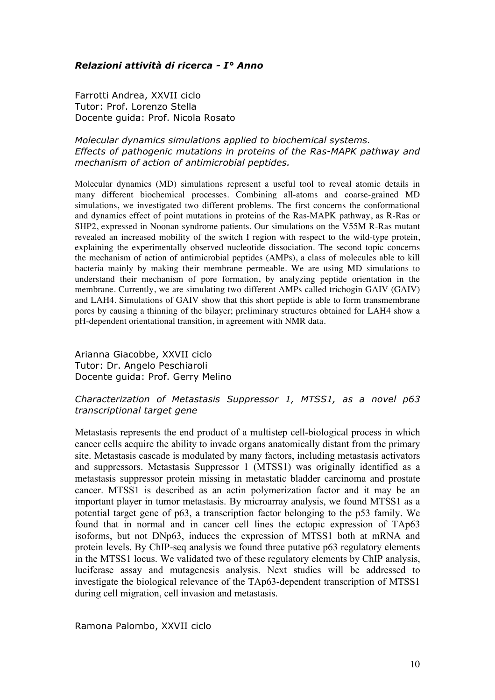# *Relazioni attività di ricerca - I° Anno*

Farrotti Andrea, XXVII ciclo Tutor: Prof. Lorenzo Stella Docente guida: Prof. Nicola Rosato

# *Molecular dynamics simulations applied to biochemical systems. Effects of pathogenic mutations in proteins of the Ras-MAPK pathway and mechanism of action of antimicrobial peptides.*

Molecular dynamics (MD) simulations represent a useful tool to reveal atomic details in many different biochemical processes. Combining all-atoms and coarse-grained MD simulations, we investigated two different problems. The first concerns the conformational and dynamics effect of point mutations in proteins of the Ras-MAPK pathway, as R-Ras or SHP2, expressed in Noonan syndrome patients. Our simulations on the V55M R-Ras mutant revealed an increased mobility of the switch I region with respect to the wild-type protein, explaining the experimentally observed nucleotide dissociation. The second topic concerns the mechanism of action of antimicrobial peptides (AMPs), a class of molecules able to kill bacteria mainly by making their membrane permeable. We are using MD simulations to understand their mechanism of pore formation, by analyzing peptide orientation in the membrane. Currently, we are simulating two different AMPs called trichogin GAIV (GAIV) and LAH4. Simulations of GAIV show that this short peptide is able to form transmembrane pores by causing a thinning of the bilayer; preliminary structures obtained for LAH4 show a pH-dependent orientational transition, in agreement with NMR data.

Arianna Giacobbe, XXVII ciclo Tutor: Dr. Angelo Peschiaroli Docente guida: Prof. Gerry Melino

# *Characterization of Metastasis Suppressor 1, MTSS1, as a novel p63 transcriptional target gene*

Metastasis represents the end product of a multistep cell-biological process in which cancer cells acquire the ability to invade organs anatomically distant from the primary site. Metastasis cascade is modulated by many factors, including metastasis activators and suppressors. Metastasis Suppressor 1 (MTSS1) was originally identified as a metastasis suppressor protein missing in metastatic bladder carcinoma and prostate cancer. MTSS1 is described as an actin polymerization factor and it may be an important player in tumor metastasis. By microarray analysis, we found MTSS1 as a potential target gene of p63, a transcription factor belonging to the p53 family. We found that in normal and in cancer cell lines the ectopic expression of TAp63 isoforms, but not DNp63, induces the expression of MTSS1 both at mRNA and protein levels. By ChIP-seq analysis we found three putative p63 regulatory elements in the MTSS1 locus. We validated two of these regulatory elements by ChIP analysis, luciferase assay and mutagenesis analysis. Next studies will be addressed to investigate the biological relevance of the TAp63-dependent transcription of MTSS1 during cell migration, cell invasion and metastasis.

Ramona Palombo, XXVII ciclo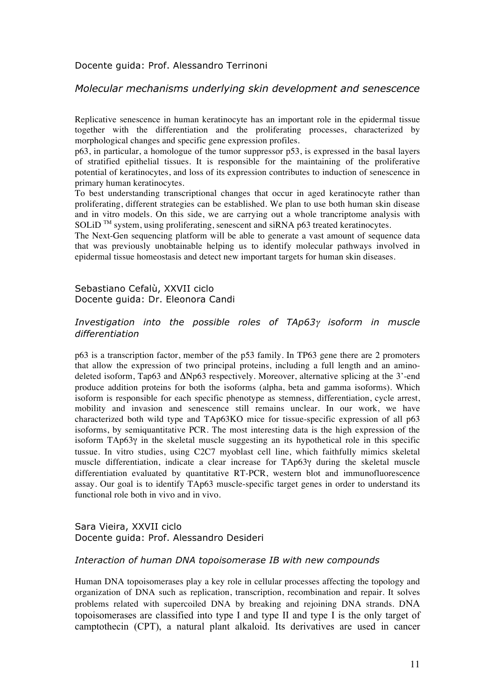Docente guida: Prof. Alessandro Terrinoni

### *Molecular mechanisms underlying skin development and senescence*

Replicative senescence in human keratinocyte has an important role in the epidermal tissue together with the differentiation and the proliferating processes, characterized by morphological changes and specific gene expression profiles.

p63, in particular, a homologue of the tumor suppressor p53, is expressed in the basal layers of stratified epithelial tissues. It is responsible for the maintaining of the proliferative potential of keratinocytes, and loss of its expression contributes to induction of senescence in primary human keratinocytes.

To best understanding transcriptional changes that occur in aged keratinocyte rather than proliferating, different strategies can be established. We plan to use both human skin disease and in vitro models. On this side, we are carrying out a whole trancriptome analysis with SOLiD<sup>™</sup> system, using proliferating, senescent and siRNA p63 treated keratinocytes.

The Next-Gen sequencing platform will be able to generate a vast amount of sequence data that was previously unobtainable helping us to identify molecular pathways involved in epidermal tissue homeostasis and detect new important targets for human skin diseases.

Sebastiano Cefalù, XXVII ciclo Docente guida: Dr. Eleonora Candi

## *Investigation into the possible roles of TAp63*γ *isoform in muscle differentiation*

p63 is a transcription factor, member of the p53 family. In TP63 gene there are 2 promoters that allow the expression of two principal proteins, including a full length and an aminodeleted isoform, Tap63 and ΔNp63 respectively. Moreover, alternative splicing at the 3'-end produce addition proteins for both the isoforms (alpha, beta and gamma isoforms). Which isoform is responsible for each specific phenotype as stemness, differentiation, cycle arrest, mobility and invasion and senescence still remains unclear. In our work, we have characterized both wild type and TAp63KO mice for tissue-specific expression of all p63 isoforms, by semiquantitative PCR. The most interesting data is the high expression of the isoform TAp63γ in the skeletal muscle suggesting an its hypothetical role in this specific tussue. In vitro studies, using C2C7 myoblast cell line, which faithfully mimics skeletal muscle differentiation, indicate a clear increase for TAp63γ during the skeletal muscle differentiation evaluated by quantitative RT-PCR, western blot and immunofluorescence assay. Our goal is to identify TAp63 muscle-specific target genes in order to understand its functional role both in vivo and in vivo.

# Sara Vieira, XXVII ciclo Docente guida: Prof. Alessandro Desideri

#### *Interaction of human DNA topoisomerase IB with new compounds*

Human DNA topoisomerases play a key role in cellular processes affecting the topology and organization of DNA such as replication, transcription, recombination and repair. It solves problems related with supercoiled DNA by breaking and rejoining DNA strands. DNA topoisomerases are classified into type I and type II and type I is the only target of camptothecin (CPT), a natural plant alkaloid. Its derivatives are used in cancer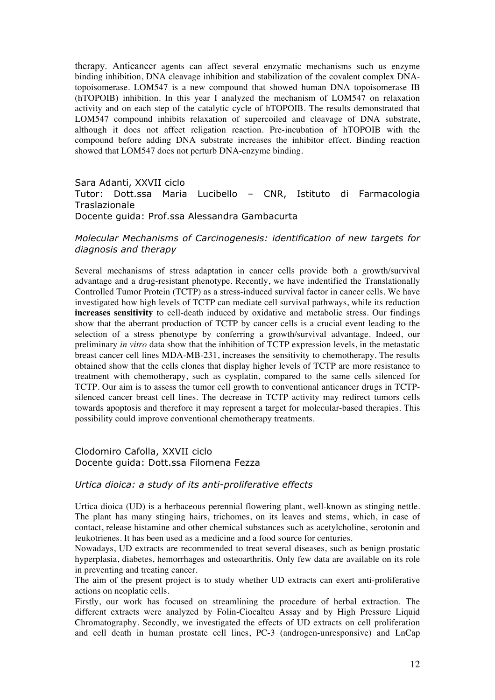therapy. Anticancer agents can affect several enzymatic mechanisms such us enzyme binding inhibition, DNA cleavage inhibition and stabilization of the covalent complex DNAtopoisomerase. LOM547 is a new compound that showed human DNA topoisomerase IB (hTOPOIB) inhibition. In this year I analyzed the mechanism of LOM547 on relaxation activity and on each step of the catalytic cycle of hTOPOIB. The results demonstrated that LOM547 compound inhibits relaxation of supercoiled and cleavage of DNA substrate, although it does not affect religation reaction. Pre-incubation of hTOPOIB with the compound before adding DNA substrate increases the inhibitor effect. Binding reaction showed that LOM547 does not perturb DNA-enzyme binding.

#### Sara Adanti, XXVII ciclo

Tutor: Dott.ssa Maria Lucibello – CNR, Istituto di Farmacologia **Traslazionale** Docente guida: Prof.ssa Alessandra Gambacurta

## *Molecular Mechanisms of Carcinogenesis: identification of new targets for diagnosis and therapy*

Several mechanisms of stress adaptation in cancer cells provide both a growth/survival advantage and a drug-resistant phenotype. Recently, we have indentified the Translationally Controlled Tumor Protein (TCTP) as a stress-induced survival factor in cancer cells. We have investigated how high levels of TCTP can mediate cell survival pathways, while its reduction **increases sensitivity** to cell-death induced by oxidative and metabolic stress. Our findings show that the aberrant production of TCTP by cancer cells is a crucial event leading to the selection of a stress phenotype by conferring a growth/survival advantage. Indeed, our preliminary *in vitro* data show that the inhibition of TCTP expression levels, in the metastatic breast cancer cell lines MDA-MB-231, increases the sensitivity to chemotherapy. The results obtained show that the cells clones that display higher levels of TCTP are more resistance to treatment with chemotherapy, such as cysplatin, compared to the same cells silenced for TCTP. Our aim is to assess the tumor cell growth to conventional anticancer drugs in TCTPsilenced cancer breast cell lines. The decrease in TCTP activity may redirect tumors cells towards apoptosis and therefore it may represent a target for molecular-based therapies. This possibility could improve conventional chemotherapy treatments.

### Clodomiro Cafolla, XXVII ciclo Docente guida: Dott.ssa Filomena Fezza

### *Urtica dioica: a study of its anti-proliferative effects*

Urtica dioica (UD) is a herbaceous perennial flowering plant, well-known as stinging nettle. The plant has many stinging hairs, trichomes, on its leaves and stems, which, in case of contact, release histamine and other chemical substances such as acetylcholine, serotonin and leukotrienes. It has been used as a medicine and a food source for centuries.

Nowadays, UD extracts are recommended to treat several diseases, such as benign prostatic hyperplasia, diabetes, hemorrhages and osteoarthritis. Only few data are available on its role in preventing and treating cancer.

The aim of the present project is to study whether UD extracts can exert anti-proliferative actions on neoplatic cells.

Firstly, our work has focused on streamlining the procedure of herbal extraction. The different extracts were analyzed by Folin-Ciocalteu Assay and by High Pressure Liquid Chromatography. Secondly, we investigated the effects of UD extracts on cell proliferation and cell death in human prostate cell lines, PC-3 (androgen-unresponsive) and LnCap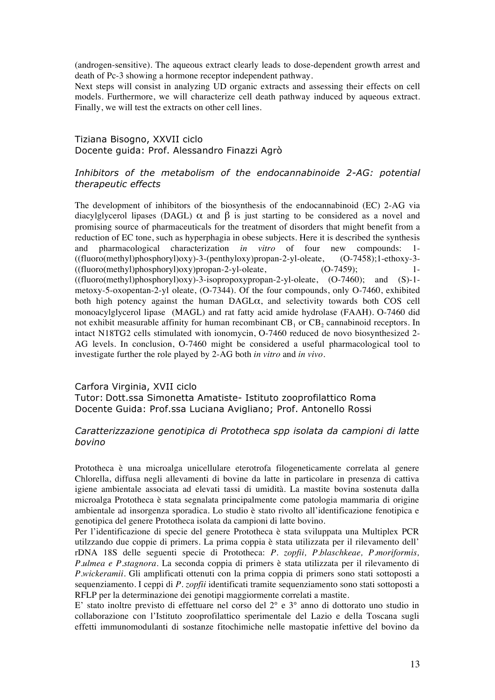(androgen-sensitive). The aqueous extract clearly leads to dose-dependent growth arrest and death of Pc-3 showing a hormone receptor independent pathway.

Next steps will consist in analyzing UD organic extracts and assessing their effects on cell models. Furthermore, we will characterize cell death pathway induced by aqueous extract. Finally, we will test the extracts on other cell lines.

### Tiziana Bisogno, XXVII ciclo Docente guida: Prof. Alessandro Finazzi Agrò

## *Inhibitors of the metabolism of the endocannabinoide 2-AG: potential therapeutic effects*

The development of inhibitors of the biosynthesis of the endocannabinoid (EC) 2-AG via diacylglycerol lipases (DAGL)  $\alpha$  and  $\beta$  is just starting to be considered as a novel and promising source of pharmaceuticals for the treatment of disorders that might benefit from a reduction of EC tone, such as hyperphagia in obese subjects. Here it is described the synthesis and pharmacological characterization *in vitro* of four new compounds: 1- ((fluoro(methyl)phosphoryl)oxy)-3-(penthyloxy)propan-2-yl-oleate, (O-7458);1-ethoxy-3-  $((\text{fluoro}(\text{methyl})\text{phosphoryl})\text{oxy})\text{propan-2-yl-oleate},$  (O-7459); 1- $((\text{fluoro}(\text{methyl})\text{phosphoryl})oxy) - 3-\text{isopropoxypropan-2-yl-oleate}, (O-7460);$  and  $(S)-1$ metoxy-5-oxopentan-2-yl oleate, (O-7344). Of the four compounds, only O-7460, exhibited both high potency against the human DAGLα, and selectivity towards both COS cell monoacylglycerol lipase (MAGL) and rat fatty acid amide hydrolase (FAAH). O-7460 did not exhibit measurable affinity for human recombinant  $CB_1$  or  $CB_2$  cannabinoid receptors. In intact N18TG2 cells stimulated with ionomycin, O-7460 reduced de novo biosynthesized 2- AG levels. In conclusion, O-7460 might be considered a useful pharmacological tool to investigate further the role played by 2-AG both *in vitro* and *in vivo*.

## Carfora Virginia, XVII ciclo Tutor: Dott.ssa Simonetta Amatiste- Istituto zooprofilattico Roma Docente Guida: Prof.ssa Luciana Avigliano; Prof. Antonello Rossi

## *Caratterizzazione genotipica di Prototheca spp isolata da campioni di latte bovino*

Prototheca è una microalga unicellulare eterotrofa filogeneticamente correlata al genere Chlorella, diffusa negli allevamenti di bovine da latte in particolare in presenza di cattiva igiene ambientale associata ad elevati tassi di umidità. La mastite bovina sostenuta dalla microalga Prototheca è stata segnalata principalmente come patologia mammaria di origine ambientale ad insorgenza sporadica. Lo studio è stato rivolto all'identificazione fenotipica e genotipica del genere Prototheca isolata da campioni di latte bovino.

Per l'identificazione di specie del genere Prototheca è stata sviluppata una Multiplex PCR utilzzando due coppie di primers. La prima coppia è stata utilizzata per il rilevamento dell' rDNA 18S delle seguenti specie di Prototheca: *P. zopfii, P.blaschkeae, P.moriformis, P.ulmea e P.stagnora*. La seconda coppia di primers è stata utilizzata per il rilevamento di *P.wickeramii*. Gli amplificati ottenuti con la prima coppia di primers sono stati sottoposti a sequenziamento. I ceppi di *P. zopfii* identificati tramite sequenziamento sono stati sottoposti a RFLP per la determinazione dei genotipi maggiormente correlati a mastite.

E' stato inoltre previsto di effettuare nel corso del 2° e 3° anno di dottorato uno studio in collaborazione con l'Istituto zooprofilattico sperimentale del Lazio e della Toscana sugli effetti immunomodulanti di sostanze fitochimiche nelle mastopatie infettive del bovino da